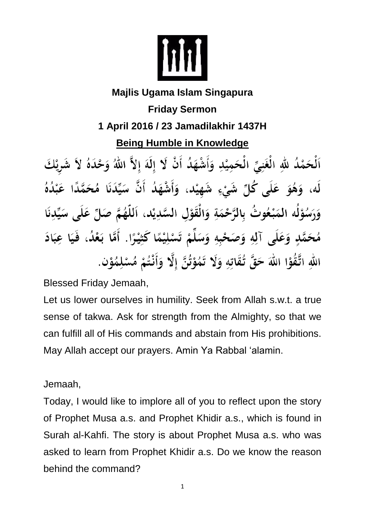

## **Majlis Ugama Islam Singapura Friday Sermon**

## **1 April 2016 / 23 Jamadilakhir 1437H**

**Being Humble in Knowledge**

ٱلْحَمْدُ للهِ الْغَنِيِّ الْحَمِيْدِ وَأَشْهَدُ أَنْ لَا إِلَهَ إِلاَّ اللهُ وَحْدَهُ لاَ شَرِيْكَ لَه، وَهُوَ عَلَى كُلِّ شَيْءٍ شَهِيْد، وَأَشْهَدُ أَنَّ سَيِّدَنَا مُحَمَّدًا عَبْدُهُ وَرَسُوْلُه المَبْعُوتُ بِالرَّحْمَةِ وَالْقَوْلِ السَّدِيْدِ، اَللَّهُمَّ صَلِّ عَلَى سَيِّدِنَا مُحَمَّدٍ وَعَلَى آلِهِ وَصَحْبِهِ وَسَلِّمْ تَسْلِيْمًا كَثِيْرًا. أَمَّا بَعْدُ، فَيَا عِبَادَ اللهِ اتَّقُوْا اللهَ حَقَّ تُقَاتِهِ وَلَا تَمُوْتُنَّ إِلَّا وَأَنْتُمْ مُسْلِمُوْنٍ.

Blessed Friday Jemaah,

Let us lower ourselves in humility. Seek from Allah s.w.t. a true sense of takwa. Ask for strength from the Almighty, so that we can fulfill all of His commands and abstain from His prohibitions. May Allah accept our prayers. Amin Ya Rabbal 'alamin.

Jemaah,

Today, I would like to implore all of you to reflect upon the story of Prophet Musa a.s. and Prophet Khidir a.s., which is found in Surah al-Kahfi. The story is about Prophet Musa a.s. who was asked to learn from Prophet Khidir a.s. Do we know the reason behind the command?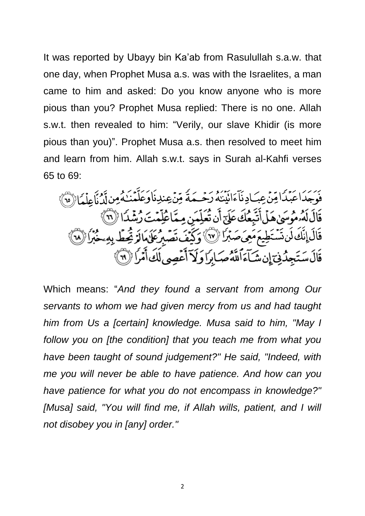It was reported by Ubayy bin Ka'ab from Rasulullah s.a.w. that one day, when Prophet Musa a.s. was with the Israelites, a man came to him and asked: Do you know anyone who is more pious than you? Prophet Musa replied: There is no one. Allah s.w.t. then revealed to him: "Verily, our slave Khidir (is more pious than you)". Prophet Musa a.s. then resolved to meet him and learn from him. Allah s.w.t. says in Surah al-Kahfi verses 65 to 69:

فَوَجَدَاعَبْدَا مِّنْ عِبَادِنَآءَانَيْنَهُ رَحْمَةً مِّنۡ عِندِنَاوَعَلَّمۡنَـٰهُ مِن لَّدُنَّاعِلۡمَا (٢٥) قَالَ لَهُ مُوسَىٰ هَلْ أَتَبِعُكَ عَلَىٰٓ أَن تُعَلِّمَنِ مِمَّاعُلِّمۡتَ رُشۡدَا (لَا ) قَالَ إِنَّكَ لَن تَسْتَطِيعَ مَعِيَ صَبْرًا (٧٧) وَكَيْفَ تَصْبِرُ عَلَىٰهَالَهُ يُحِطِّ بِهِ حَبْرًا (٢٨) قَالَ سَتَجِدُّنِيٓ إِن شَآءَٱللَّهُ صَابِرًا وَلَآ أَعۡصِي لَكَ أَمۡرَا ۚ (٣)

Which means: "*And they found a servant from among Our servants to whom we had given mercy from us and had taught him from Us a [certain] knowledge. Musa said to him, "May I follow you on [the condition] that you teach me from what you have been taught of sound judgement?" He said, "Indeed, with me you will never be able to have patience. And how can you have patience for what you do not encompass in knowledge?"* [Musa] said, "You will find me, if Allah wills, patient, and I will *not disobey you in [any] order."*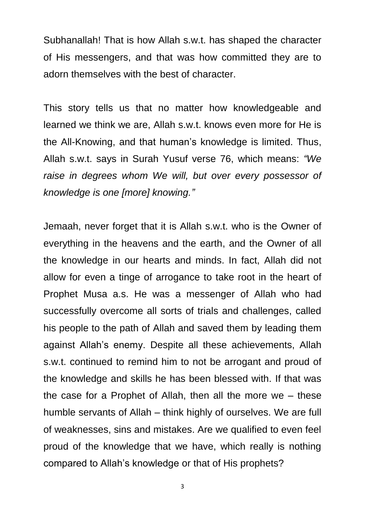Subhanallah! That is how Allah s.w.t. has shaped the character of His messengers, and that was how committed they are to adorn themselves with the best of character.

This story tells us that no matter how knowledgeable and learned we think we are, Allah s.w.t. knows even more for He is the All-Knowing, and that human's knowledge is limited. Thus, Allah s.w.t. says in Surah Yusuf verse 76, which means: *"We raise in degrees whom We will, but over every possessor of knowledge is one [more] knowing."*

Jemaah, never forget that it is Allah s.w.t. who is the Owner of everything in the heavens and the earth, and the Owner of all the knowledge in our hearts and minds. In fact, Allah did not allow for even a tinge of arrogance to take root in the heart of Prophet Musa a.s. He was a messenger of Allah who had successfully overcome all sorts of trials and challenges, called his people to the path of Allah and saved them by leading them against Allah's enemy. Despite all these achievements, Allah s.w.t. continued to remind him to not be arrogant and proud of the knowledge and skills he has been blessed with. If that was the case for a Prophet of Allah, then all the more we – these humble servants of Allah – think highly of ourselves. We are full of weaknesses, sins and mistakes. Are we qualified to even feel proud of the knowledge that we have, which really is nothing compared to Allah's knowledge or that of His prophets?

3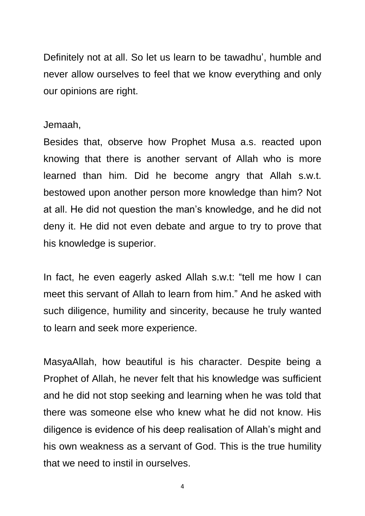Definitely not at all. So let us learn to be tawadhu', humble and never allow ourselves to feel that we know everything and only our opinions are right.

## Jemaah,

Besides that, observe how Prophet Musa a.s. reacted upon knowing that there is another servant of Allah who is more learned than him. Did he become angry that Allah s.w.t. bestowed upon another person more knowledge than him? Not at all. He did not question the man's knowledge, and he did not deny it. He did not even debate and argue to try to prove that his knowledge is superior.

In fact, he even eagerly asked Allah s.w.t: "tell me how I can meet this servant of Allah to learn from him." And he asked with such diligence, humility and sincerity, because he truly wanted to learn and seek more experience.

MasyaAllah, how beautiful is his character. Despite being a Prophet of Allah, he never felt that his knowledge was sufficient and he did not stop seeking and learning when he was told that there was someone else who knew what he did not know. His diligence is evidence of his deep realisation of Allah's might and his own weakness as a servant of God. This is the true humility that we need to instil in ourselves.

4